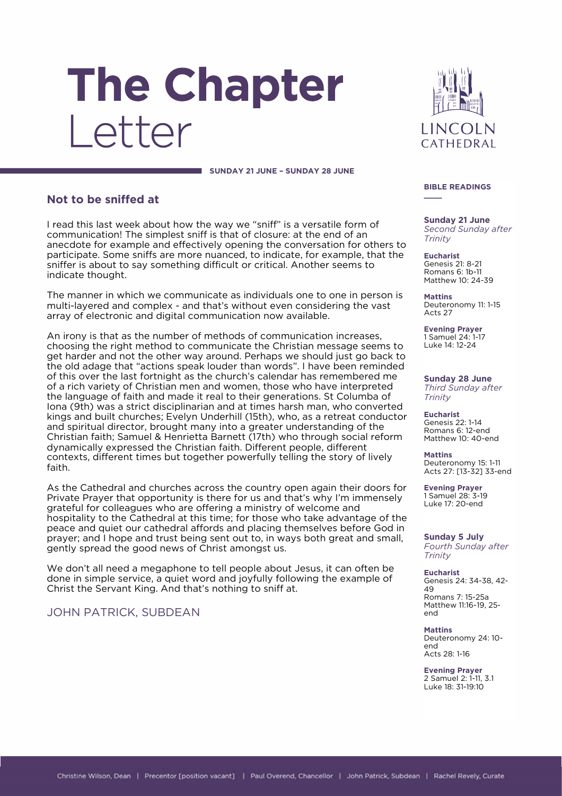# The Chapter Letter



#### **SUNDAY 21 JUNE – SUNDAY 28 JUNE**

#### **Not to be sniffed at**

I read this last week about how the way we "sniff" is a versatile form of communication! The simplest sniff is that of closure: at the end of an anecdote for example and effectively opening the conversation for others to participate. Some sniffs are more nuanced, to indicate, for example, that the sniffer is about to say something difficult or critical. Another seems to indicate thought.

The manner in which we communicate as individuals one to one in person is multi-layered and complex - and that's without even considering the vast array of electronic and digital communication now available.

An irony is that as the number of methods of communication increases, choosing the right method to communicate the Christian message seems to get harder and not the other way around. Perhaps we should just go back to the old adage that "actions speak louder than words". I have been reminded of this over the last fortnight as the church's calendar has remembered me of a rich variety of Christian men and women, those who have interpreted the language of faith and made it real to their generations. St Columba of Iona (9th) was a strict disciplinarian and at times harsh man, who converted kings and built churches; Evelyn Underhill (15th), who, as a retreat conductor and spiritual director, brought many into a greater understanding of the Christian faith; Samuel & Henrietta Barnett (17th) who through social reform dynamically expressed the Christian faith. Different people, different contexts, different times but together powerfully telling the story of lively faith.

As the Cathedral and churches across the country open again their doors for Private Prayer that opportunity is there for us and that's why I'm immensely grateful for colleagues who are offering a ministry of welcome and hospitality to the Cathedral at this time; for those who take advantage of the peace and quiet our cathedral affords and placing themselves before God in prayer; and I hope and trust being sent out to, in ways both great and small, gently spread the good news of Christ amongst us.

We don't all need a megaphone to tell people about Jesus, it can often be done in simple service, a quiet word and joyfully following the example of Christ the Servant King. And that's nothing to sniff at.

JOHN PATRICK, SUBDEAN

#### **BIBLE READINGS \_\_\_\_**

**Sunday 21 June** *Second Sunday after Trinity*

**Eucharist** Genesis 21: 8-21 Romans 6: 1b-11 Matthew 10: 24-39

**Mattins** Deuteronomy 11: 1-15 Acts 27

**Evening Prayer** 1 Samuel 24: 1-17 Luke 14: 12-24

**Sunday 28 June** *Third Sunday after* 

*Trinity*

**Eucharist** Genesis 22: 1-14 Romans 6: 12-end Matthew 10: 40-end

**Mattins** Deuteronomy 15: 1-11 Acts 27: [13-32] 33-end

**Evening Prayer** 1 Samuel 28: 3-19 Luke 17: 20-end

**Sunday 5 July** *Fourth Sunday after Trinity*

**Eucharist** Genesis 24: 34-38, 42- 49 Romans 7: 15-25a Matthew 11:16-19, 25 end

**Mattins** Deuteronomy 24: 10 end Acts 28: 1-16

**Evening Prayer** 2 Samuel 2: 1-11, 3.1 Luke 18: 31-19:10